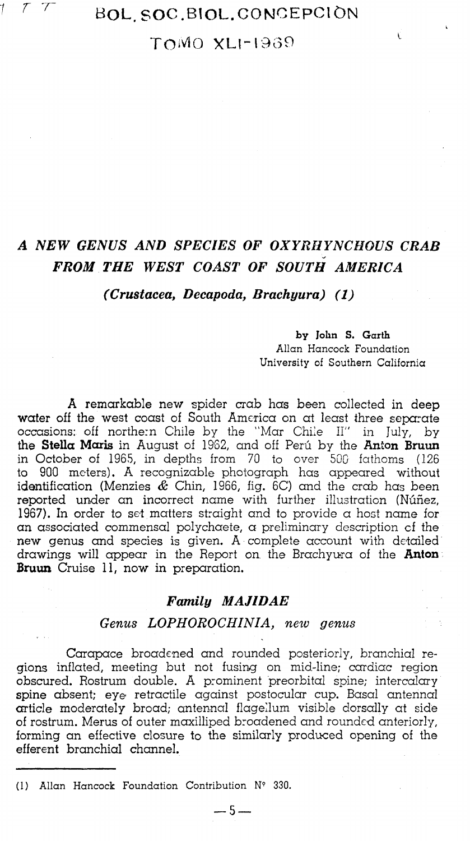

# ^ ^ *'^* BOL.SOC.BIOL.CONCEPCIDN

# TOMO XLI-1969

# *A NEW GENUS AND SPECIES OF OXYRHYNCHOUS CRAB FROM THE WEST COAST OF SOUTH AMERICA*

*(Crustacea, Decapoda, Brachyura) (1)* 

#### by John S. Garth

Ù

Allan Hancock Foundation University of Southern California

A remarkable new spider crab has been collected in deep water off the west coast of South America on at least three separate occasions: off northern Chile by the "'Mar Chile 11" in July, by the **Stella Maris** in August of IS'32, and off Peru by the **Anton Bruxm**  in October of 1965, in depths from *7Q* to over 500 fathoms (126 to 900 meters). A recognizable photograph has appeared without identification (Menzies *&* Chin, 1966, fig. 6C) and the crab has been reported under an incorrect name with further illustration (Nufiez, 1967). In order to set matters straight and to provide a host name for an associated commensal polychaete, a preliminary description of the new genus and species is given. A complete account with detailed drawings will appear in the Report on, the Brachyura of the **Anton Bruun** Cruise 11, now in preparation.

#### *Family MAJIDAE*

### *Genus LOPHOROCHINIA, new genus*

Carapace broadened and rounded posteriorly, branchial regions inflated, meeting but not fusing on mid-line; cardiac region obscured. Rostrum double. A prominent preorbital spine; intercalary spine absent; eye retractile against postocular cup. Basal antennal  $\alpha$ rticle moderately broad;  $\alpha$ ntennal flagellum visible dorsally at side of rostrum. Merus of outer moxilliped broadened and rounded anteriorly, forming an effective closure to the similarly produced opening of the efferent branchial channel.

**— 5 —** 

(1) Allan Hancock Foundation Contribution N' 330.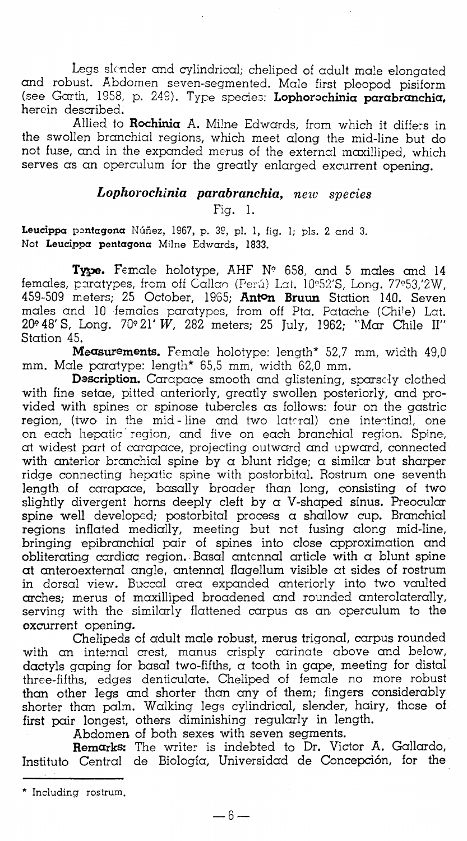Legs slender and cylindrical; cheliped of adult male elongated and robust. Abdomen seven-segmented. Male first pleopod pisiform (see Garth, 1958, p. 249). Type species; **Lophorochinia parabranchia,**  herein described.

Allied to **Rochinia** A. Milne Edwards, from which it differs in the swollen branchial regions, which meet along the mid-line but do not fuse, and in the expanded merus of the external maxilliped, which serves as an operculum for the greatly enlarged excurrent opening.

## *Lophorochinia parabranchia, neiv species*

Fig. 1.

Leucippa pontagona Núñez, 1967, p. 39, pl. 1, fig. 1; pls. 2 and 3. Not **Leucippa pentagona Milne Edwards, 1833.** 

Type. Female holotype, AHF Nº 658, and 5 males and 14 females, paratypes, from off Callao (Perú) Lat. 10°52'S, Long. 77°53,'2W, 459-509 meters; 25 October, 19'o5; **Anton Bruun** Station 140. Seven males and 10 females paratypes, from off Pta. Patache (Chi^e) Lat.  $20^{\circ}48'$  S, Long.  $70^{\circ}21'W$ ,  $282$  meters; 25 July, 1962; "Mar Chile II" Station 45.

Measurements. Female holotype: length\* 52,7 mm, width 49,0 mm. Male paratype: length\* 65,5 mm, width 62,0 mm.

**Description.** Carapace smooth and glistening, sparsely clothed with fine setae, pitted anteriorly, greatly swollen posteriorly, and provided with spines or spinose tubercles as follows: four on the gastric  $\mathsf{region},$  (two in the mid-line and two lateral) one intentinal, one on each hepatic region, and five on each branchial region. Spine, at widest part of carapace, projecting outward and upward, connected with anterior branchial spine by  $\alpha$  blunt ridge;  $\alpha$  similar but sharper ridge connecting hepatic spine with postorbital. Rostrum one seventh length of carapace, bosally broader than long, consisting of two slightly divergent horns deeply cleft by  $\alpha$  V-shaped sinus. Preocular spine well developed; postorbital process a shallow cup. Branchial regions inflated medially, meeting but not fusing along mid-line, bringing epibranchial pair of spines into close approximation and  $\text{obliterating cardiac region.}$  Basal antennal article with a blunt spine **at** onteroexternal angle, antennal flagellum visible at sides of rostrum in dorsal viev/. Buccal area expanded anteriorly into two vaulted arches; merus of maxilliped broadened and rounded anterolaterally, serving with the similarly flattened carpus as an operculum to the excurrent opening.

Chelipeds of adult male robust, merus trigonal, carpus rounded with an internal crest, manus crisply carinate above and below, dactyls gaping for basal two-fifths,  $\alpha$  tooth in gape, meeting for distal three-fifths, edges denticulate. Cheliped of female no more robust than other legs and shorter than any of them; fingers considerably shorter than palm. Walking legs cylindrical, slender, hairy, those of first pair longest, others diminishing regularly in length.

Abdomen of both sexes with seven segments.

**Remarks:** The writer is indebted to Dr. Victor A. Gallardo, Instituto Central de Biologia, Universidad de Concepcion, for the

<sup>\*</sup> Including rostrum,